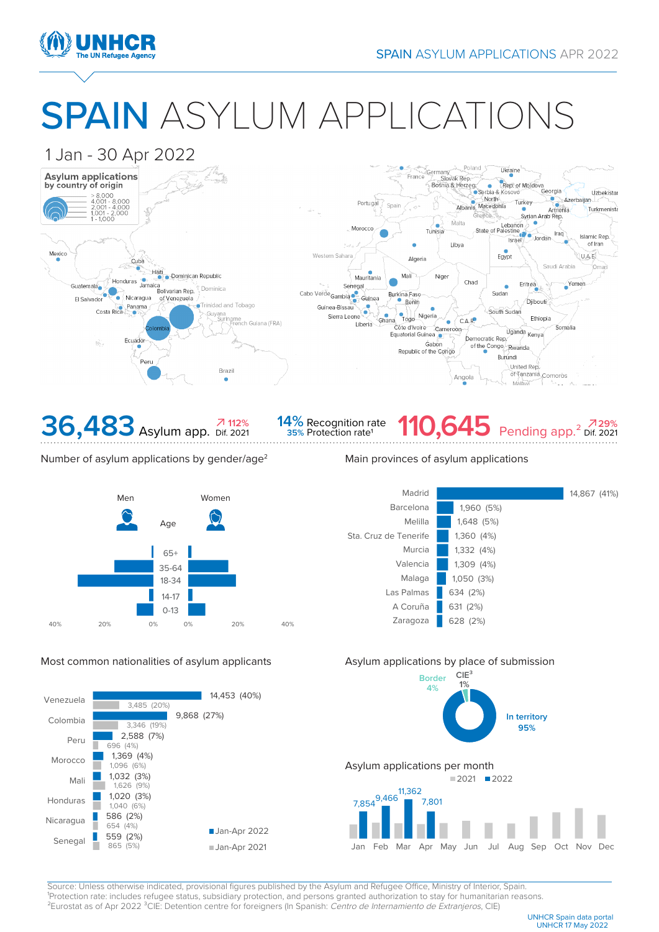

# SPAIN ASYLUM APPLICATIONS





### Number of asylum applications by gender/age<sup>2</sup> Main provinces of asylum applications



## Most common nationalities of asylum applicants Asylum applications by place of submission







Source: Unless otherwise indicated, provisional figures published by the Asylum and Refugee Office, Ministry of Interior, Spain. <sup>1</sup>Protection rate: includes refugee status, subsidiary protection, and persons granted authorization to stay for humanitarian reasons. <sup>2</sup>Eurostat as of Apr 2022<sup>3</sup>CIE: Detention centre for foreigners (In Spanish: Centro de Internamiento de Extranjeros, CIE)